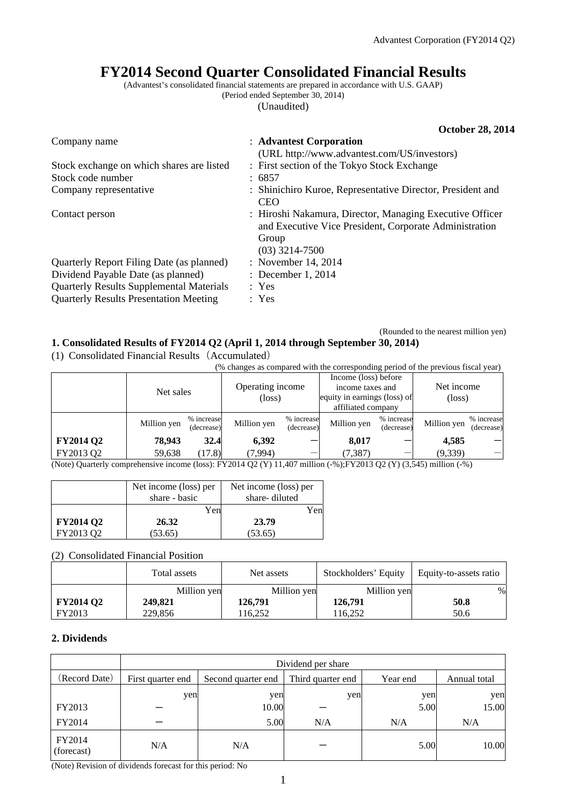# **FY2014 Second Quarter Consolidated Financial Results**

(Advantest's consolidated financial statements are prepared in accordance with U.S. GAAP) (Period ended September 30, 2014)

(Unaudited)

|                                                 | <b>October 28, 2014</b>                                                                                                                         |
|-------------------------------------------------|-------------------------------------------------------------------------------------------------------------------------------------------------|
| Company name                                    | : Advantest Corporation                                                                                                                         |
|                                                 | (URL http://www.advantest.com/US/investors)                                                                                                     |
| Stock exchange on which shares are listed       | : First section of the Tokyo Stock Exchange                                                                                                     |
| Stock code number                               | : 6857                                                                                                                                          |
| Company representative                          | : Shinichiro Kuroe, Representative Director, President and<br><b>CEO</b>                                                                        |
| Contact person                                  | : Hiroshi Nakamura, Director, Managing Executive Officer<br>and Executive Vice President, Corporate Administration<br>Group<br>$(03)$ 3214-7500 |
| Quarterly Report Filing Date (as planned)       | : November 14, 2014                                                                                                                             |
| Dividend Payable Date (as planned)              | : December 1, 2014                                                                                                                              |
| <b>Quarterly Results Supplemental Materials</b> | : Yes                                                                                                                                           |
| <b>Quarterly Results Presentation Meeting</b>   | : Yes                                                                                                                                           |

#### (Rounded to the nearest million yen) **1. Consolidated Results of FY2014 Q2 (April 1, 2014 through September 30, 2014)**

(1) Consolidated Financial Results(Accumulated)

| (% changes as compared with the corresponding period of the previous fiscal year) |             |                          |                                        |                          |                                                                                                |                          |                                  |                          |
|-----------------------------------------------------------------------------------|-------------|--------------------------|----------------------------------------|--------------------------|------------------------------------------------------------------------------------------------|--------------------------|----------------------------------|--------------------------|
|                                                                                   | Net sales   |                          | Operating income<br>(loss)             |                          | Income (loss) before<br>income taxes and<br>equity in earnings (loss) of<br>affiliated company |                          | Net income<br>$(\text{loss})$    |                          |
|                                                                                   | Million yen | % increase<br>(decrease) | Million yen                            | % increase<br>(decrease) | Million yen                                                                                    | % increase<br>(decrease) | Million yen                      | % increase<br>(decrease) |
| <b>FY2014 Q2</b>                                                                  | 78,943      | 32.4                     | 6,392                                  |                          | 8,017                                                                                          |                          | 4,585                            |                          |
| FY2013 Q2<br>$\mathbf{A}$                                                         | 59,638      | (17.8)                   | (7,994)<br>$\sim$ TYZACI (CAUT) 11 105 | .                        | (7, 387)                                                                                       |                          | (9,339)<br><br>$\sim$ 0.1 $\sim$ |                          |

(Note) Quarterly comprehensive income (loss): FY2014 Q2 (Y) 11,407 million (-%);FY2013 Q2 (Y) (3,545) million (-%)

|                  | Net income (loss) per | Net income (loss) per |
|------------------|-----------------------|-----------------------|
|                  | share - basic         | share-diluted         |
|                  | Yen                   | Yen.                  |
| <b>FY2014 Q2</b> | 26.32                 | 23.79                 |
| FY2013 O2        | (53.65)               | (53.65)               |

(2) Consolidated Financial Position

|                  | Total assets | Net assets  | Stockholders' Equity | Equity-to-assets ratio |
|------------------|--------------|-------------|----------------------|------------------------|
|                  | Million yen  | Million yen | Million yen          | $\%$                   |
| <b>FY2014 Q2</b> | 249,821      | 126,791     | 126,791              | 50.8                   |
| FY2013           | 229,856      | 116.252     | 116.252              | 50.6                   |

### **2. Dividends**

|                      | Dividend per share |                    |                   |          |              |  |
|----------------------|--------------------|--------------------|-------------------|----------|--------------|--|
| (Record Date)        | First quarter end  | Second quarter end | Third quarter end | Year end | Annual total |  |
|                      | yen                | yen                | yen               | yen      | yen          |  |
| FY2013               |                    | 10.00              |                   | 5.00     | 15.00        |  |
| FY2014               |                    | 5.00               | N/A               | N/A      | N/A          |  |
| FY2014<br>(forecast) | N/A                | N/A                |                   | 5.00     | 10.00        |  |

(Note) Revision of dividends forecast for this period: No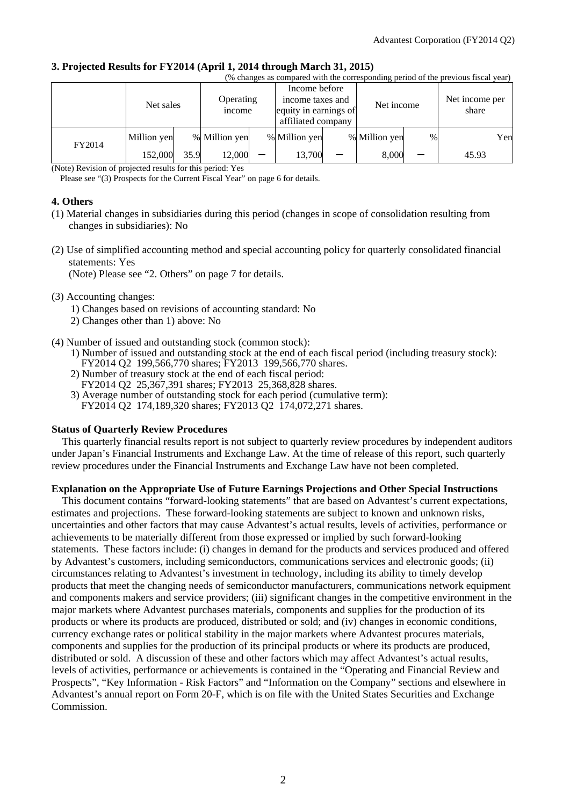## **3. Projected Results for FY2014 (April 1, 2014 through March 31, 2015)**

| (% changes as compared with the corresponding period of the previous fiscal year) |             |           |               |                  |                       |            |               |                |       |     |
|-----------------------------------------------------------------------------------|-------------|-----------|---------------|------------------|-----------------------|------------|---------------|----------------|-------|-----|
|                                                                                   |             |           |               |                  | Income before         |            |               |                |       |     |
| Net sales                                                                         |             | Operating |               | income taxes and |                       | Net income |               | Net income per |       |     |
|                                                                                   |             |           | income        |                  | equity in earnings of |            |               |                | share |     |
|                                                                                   |             |           |               |                  | affiliated company    |            |               |                |       |     |
| FY2014                                                                            | Million yen |           | % Million yen |                  | % Million yen         |            | % Million yen | %              |       | Yen |
|                                                                                   | 152,000     | 35.9      | 12,000        |                  | 13,700                |            | 8,000         |                | 45.93 |     |

(Note) Revision of projected results for this period: Yes

Please see "(3) Prospects for the Current Fiscal Year" on page 6 for details.

#### **4. Others**

- (1) Material changes in subsidiaries during this period (changes in scope of consolidation resulting from changes in subsidiaries): No
- (2) Use of simplified accounting method and special accounting policy for quarterly consolidated financial statements: Yes

(Note) Please see "2. Others" on page 7 for details.

#### (3) Accounting changes:

- 1) Changes based on revisions of accounting standard: No
- 2) Changes other than 1) above: No
- (4) Number of issued and outstanding stock (common stock):
	- 1) Number of issued and outstanding stock at the end of each fiscal period (including treasury stock): FY2014 Q2 199,566,770 shares; FY2013 199,566,770 shares.
	- 2) Number of treasury stock at the end of each fiscal period: FY2014 Q2 25,367,391 shares; FY2013 25,368,828 shares.
	- 3) Average number of outstanding stock for each period (cumulative term): FY2014 Q2 174,189,320 shares; FY2013 Q2 174,072,271 shares.

#### **Status of Quarterly Review Procedures**

This quarterly financial results report is not subject to quarterly review procedures by independent auditors under Japan's Financial Instruments and Exchange Law. At the time of release of this report, such quarterly review procedures under the Financial Instruments and Exchange Law have not been completed.

### **Explanation on the Appropriate Use of Future Earnings Projections and Other Special Instructions**

This document contains "forward-looking statements" that are based on Advantest's current expectations, estimates and projections. These forward-looking statements are subject to known and unknown risks, uncertainties and other factors that may cause Advantest's actual results, levels of activities, performance or achievements to be materially different from those expressed or implied by such forward-looking statements. These factors include: (i) changes in demand for the products and services produced and offered by Advantest's customers, including semiconductors, communications services and electronic goods; (ii) circumstances relating to Advantest's investment in technology, including its ability to timely develop products that meet the changing needs of semiconductor manufacturers, communications network equipment and components makers and service providers; (iii) significant changes in the competitive environment in the major markets where Advantest purchases materials, components and supplies for the production of its products or where its products are produced, distributed or sold; and (iv) changes in economic conditions, currency exchange rates or political stability in the major markets where Advantest procures materials, components and supplies for the production of its principal products or where its products are produced, distributed or sold. A discussion of these and other factors which may affect Advantest's actual results, levels of activities, performance or achievements is contained in the "Operating and Financial Review and Prospects", "Key Information - Risk Factors" and "Information on the Company" sections and elsewhere in Advantest's annual report on Form 20-F, which is on file with the United States Securities and Exchange Commission.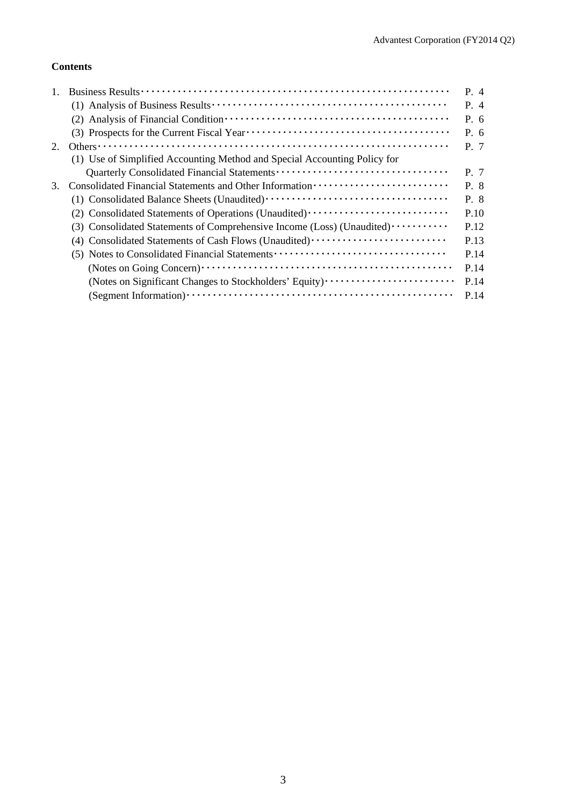## **Contents**

|    |                                                                           | $P_4$ |
|----|---------------------------------------------------------------------------|-------|
|    |                                                                           | P. 4  |
|    |                                                                           | P. 6  |
|    |                                                                           | P. 6  |
| 2. |                                                                           | P. 7  |
|    | (1) Use of Simplified Accounting Method and Special Accounting Policy for |       |
|    |                                                                           | P. 7  |
| 3. |                                                                           | P. 8  |
|    |                                                                           | P. 8  |
|    | (2) Consolidated Statements of Operations (Unaudited)                     | P.10  |
|    | (3) Consolidated Statements of Comprehensive Income (Loss) (Unaudited)    | P.12  |
|    | (4) Consolidated Statements of Cash Flows (Unaudited)                     | P.13  |
|    | (5) Notes to Consolidated Financial Statements                            | P.14  |
|    |                                                                           | P.14  |
|    | (Notes on Significant Changes to Stockholders' Equity)                    | P.14  |
|    |                                                                           | P.14  |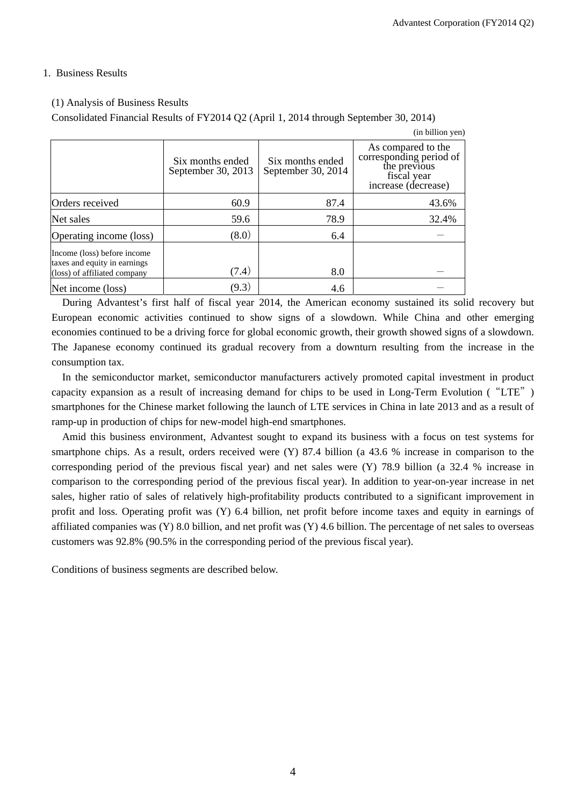#### 1. Business Results

#### (1) Analysis of Business Results

Consolidated Financial Results of FY2014 Q2 (April 1, 2014 through September 30, 2014)

|                                                                                             |                                        |                                        | (in billion yen)                                                                                    |
|---------------------------------------------------------------------------------------------|----------------------------------------|----------------------------------------|-----------------------------------------------------------------------------------------------------|
|                                                                                             | Six months ended<br>September 30, 2013 | Six months ended<br>September 30, 2014 | As compared to the<br>corresponding period of<br>the previous<br>fiscal year<br>increase (decrease) |
| Orders received                                                                             | 60.9                                   | 87.4                                   | 43.6%                                                                                               |
| Net sales                                                                                   | 59.6                                   | 78.9                                   | 32.4%                                                                                               |
| Operating income (loss)                                                                     | (8.0)                                  | 6.4                                    |                                                                                                     |
| Income (loss) before income<br>taxes and equity in earnings<br>(loss) of affiliated company | (7.4)                                  | 8.0                                    |                                                                                                     |
| Net income (loss)                                                                           | (9.3)                                  | 4.6                                    |                                                                                                     |

During Advantest's first half of fiscal year 2014, the American economy sustained its solid recovery but European economic activities continued to show signs of a slowdown. While China and other emerging economies continued to be a driving force for global economic growth, their growth showed signs of a slowdown. The Japanese economy continued its gradual recovery from a downturn resulting from the increase in the consumption tax.

In the semiconductor market, semiconductor manufacturers actively promoted capital investment in product capacity expansion as a result of increasing demand for chips to be used in Long-Term Evolution ("LTE") smartphones for the Chinese market following the launch of LTE services in China in late 2013 and as a result of ramp-up in production of chips for new-model high-end smartphones.

Amid this business environment, Advantest sought to expand its business with a focus on test systems for smartphone chips. As a result, orders received were (Y) 87.4 billion (a 43.6 % increase in comparison to the corresponding period of the previous fiscal year) and net sales were (Y) 78.9 billion (a 32.4 % increase in comparison to the corresponding period of the previous fiscal year). In addition to year-on-year increase in net sales, higher ratio of sales of relatively high-profitability products contributed to a significant improvement in profit and loss. Operating profit was (Y) 6.4 billion, net profit before income taxes and equity in earnings of affiliated companies was  $(Y)$  8.0 billion, and net profit was  $(Y)$  4.6 billion. The percentage of net sales to overseas customers was 92.8% (90.5% in the corresponding period of the previous fiscal year).

Conditions of business segments are described below.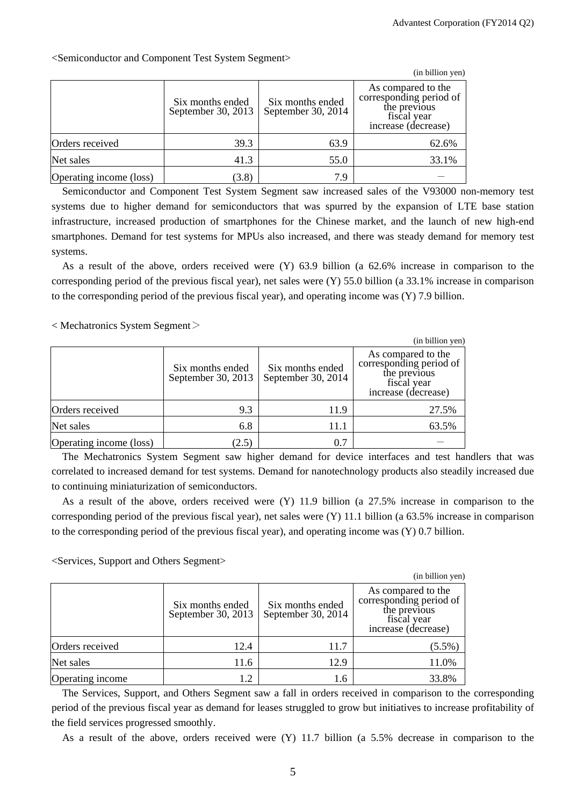|                         |                                        |                                        | (in billion yen)                                                                                    |
|-------------------------|----------------------------------------|----------------------------------------|-----------------------------------------------------------------------------------------------------|
|                         | Six months ended<br>September 30, 2013 | Six months ended<br>September 30, 2014 | As compared to the<br>corresponding period of<br>the previous<br>fiscal year<br>increase (decrease) |
| Orders received         | 39.3                                   | 63.9                                   | 62.6%                                                                                               |
| Net sales               | 41.3                                   | 55.0                                   | 33.1%                                                                                               |
| Operating income (loss) | (3.8)                                  | 7.9                                    |                                                                                                     |

<Semiconductor and Component Test System Segment>

Semiconductor and Component Test System Segment saw increased sales of the V93000 non-memory test systems due to higher demand for semiconductors that was spurred by the expansion of LTE base station infrastructure, increased production of smartphones for the Chinese market, and the launch of new high-end smartphones. Demand for test systems for MPUs also increased, and there was steady demand for memory test systems.

As a result of the above, orders received were (Y) 63.9 billion (a 62.6% increase in comparison to the corresponding period of the previous fiscal year), net sales were (Y) 55.0 billion (a 33.1% increase in comparison to the corresponding period of the previous fiscal year), and operating income was (Y) 7.9 billion.

< Mechatronics System Segment>

|                         |                                        |                                        | (in billion yen)                                                                                    |
|-------------------------|----------------------------------------|----------------------------------------|-----------------------------------------------------------------------------------------------------|
|                         | Six months ended<br>September 30, 2013 | Six months ended<br>September 30, 2014 | As compared to the<br>corresponding period of<br>the previous<br>fiscal year<br>increase (decrease) |
| Orders received         | 9.3                                    | 11.9                                   | 27.5%                                                                                               |
| Net sales               | 6.8                                    | 11.1                                   | 63.5%                                                                                               |
| Operating income (loss) | (2.5)                                  | $\rm 0.7$                              |                                                                                                     |

The Mechatronics System Segment saw higher demand for device interfaces and test handlers that was correlated to increased demand for test systems. Demand for nanotechnology products also steadily increased due to continuing miniaturization of semiconductors.

As a result of the above, orders received were (Y) 11.9 billion (a 27.5% increase in comparison to the corresponding period of the previous fiscal year), net sales were (Y) 11.1 billion (a 63.5% increase in comparison to the corresponding period of the previous fiscal year), and operating income was (Y) 0.7 billion.

<Services, Support and Others Segment>

|                  |                                        |                                        | (in billion yen)                                                                                    |
|------------------|----------------------------------------|----------------------------------------|-----------------------------------------------------------------------------------------------------|
|                  | Six months ended<br>September 30, 2013 | Six months ended<br>September 30, 2014 | As compared to the<br>corresponding period of<br>the previous<br>fiscal year<br>increase (decrease) |
| Orders received  | 12.4                                   | 11.7                                   | $(5.5\%)$                                                                                           |
| Net sales        | 11.6                                   | 12.9                                   | 11.0%                                                                                               |
| Operating income |                                        | 1.6                                    | 33.8%                                                                                               |

The Services, Support, and Others Segment saw a fall in orders received in comparison to the corresponding period of the previous fiscal year as demand for leases struggled to grow but initiatives to increase profitability of the field services progressed smoothly.

As a result of the above, orders received were (Y) 11.7 billion (a 5.5% decrease in comparison to the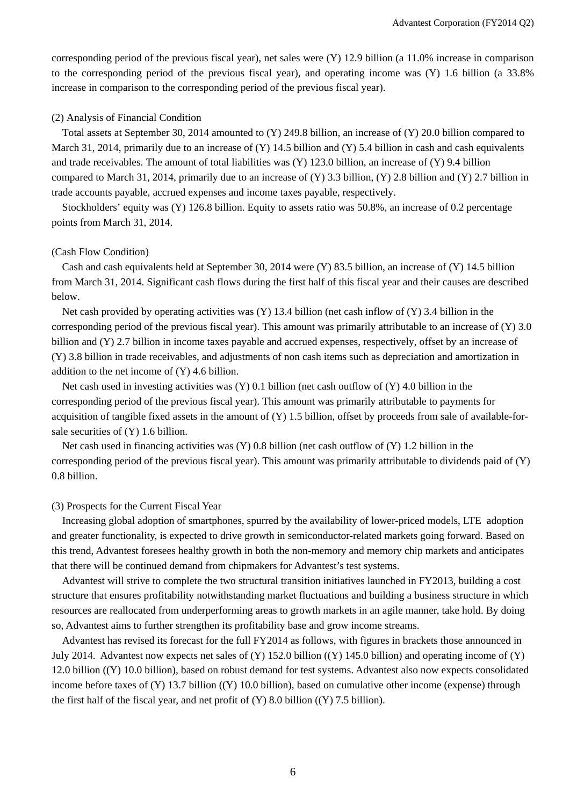corresponding period of the previous fiscal year), net sales were (Y) 12.9 billion (a 11.0% increase in comparison to the corresponding period of the previous fiscal year), and operating income was (Y) 1.6 billion (a 33.8% increase in comparison to the corresponding period of the previous fiscal year).

#### (2) Analysis of Financial Condition

Total assets at September 30, 2014 amounted to (Y) 249.8 billion, an increase of (Y) 20.0 billion compared to March 31, 2014, primarily due to an increase of  $(Y)$  14.5 billion and  $(Y)$  5.4 billion in cash and cash equivalents and trade receivables. The amount of total liabilities was (Y) 123.0 billion, an increase of (Y) 9.4 billion compared to March 31, 2014, primarily due to an increase of (Y) 3.3 billion, (Y) 2.8 billion and (Y) 2.7 billion in trade accounts payable, accrued expenses and income taxes payable, respectively.

Stockholders' equity was (Y) 126.8 billion. Equity to assets ratio was 50.8%, an increase of 0.2 percentage points from March 31, 2014.

#### (Cash Flow Condition)

Cash and cash equivalents held at September 30, 2014 were (Y) 83.5 billion, an increase of (Y) 14.5 billion from March 31, 2014. Significant cash flows during the first half of this fiscal year and their causes are described below.

Net cash provided by operating activities was  $(Y)$  13.4 billion (net cash inflow of  $(Y)$ ) 3.4 billion in the corresponding period of the previous fiscal year). This amount was primarily attributable to an increase of (Y) 3.0 billion and (Y) 2.7 billion in income taxes payable and accrued expenses, respectively, offset by an increase of (Y) 3.8 billion in trade receivables, and adjustments of non cash items such as depreciation and amortization in addition to the net income of (Y) 4.6 billion.

Net cash used in investing activities was  $(Y)$  0.1 billion (net cash outflow of  $(Y)$  4.0 billion in the corresponding period of the previous fiscal year). This amount was primarily attributable to payments for acquisition of tangible fixed assets in the amount of  $(Y)$  1.5 billion, offset by proceeds from sale of available-forsale securities of (Y) 1.6 billion.

Net cash used in financing activities was (Y) 0.8 billion (net cash outflow of (Y) 1.2 billion in the corresponding period of the previous fiscal year). This amount was primarily attributable to dividends paid of (Y) 0.8 billion.

#### (3) Prospects for the Current Fiscal Year

Increasing global adoption of smartphones, spurred by the availability of lower-priced models, LTE adoption and greater functionality, is expected to drive growth in semiconductor-related markets going forward. Based on this trend, Advantest foresees healthy growth in both the non-memory and memory chip markets and anticipates that there will be continued demand from chipmakers for Advantest's test systems.

Advantest will strive to complete the two structural transition initiatives launched in FY2013, building a cost structure that ensures profitability notwithstanding market fluctuations and building a business structure in which resources are reallocated from underperforming areas to growth markets in an agile manner, take hold. By doing so, Advantest aims to further strengthen its profitability base and grow income streams.

Advantest has revised its forecast for the full FY2014 as follows, with figures in brackets those announced in July 2014. Advantest now expects net sales of  $(Y)$  152.0 billion  $((Y)$  145.0 billion) and operating income of  $(Y)$ 12.0 billion ((Y) 10.0 billion), based on robust demand for test systems. Advantest also now expects consolidated income before taxes of (Y) 13.7 billion ((Y) 10.0 billion), based on cumulative other income (expense) through the first half of the fiscal year, and net profit of  $(Y)$  8.0 billion  $((Y)$  7.5 billion).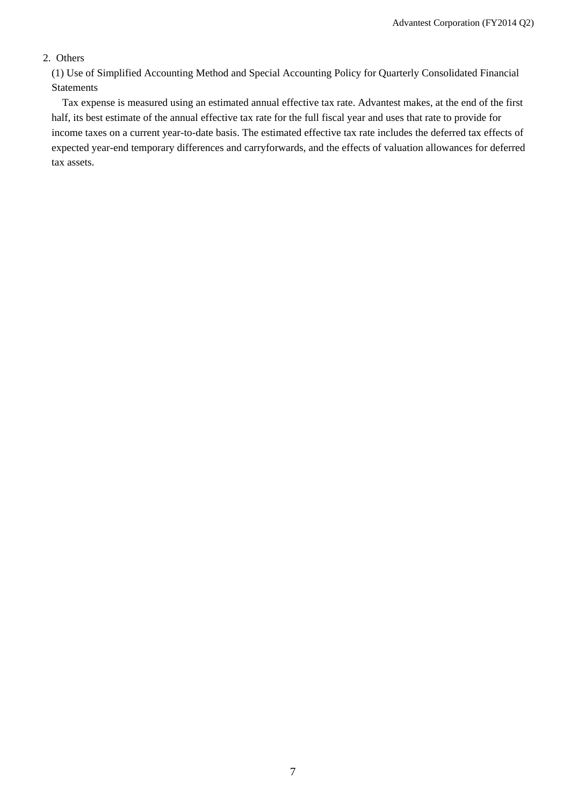## 2. Others

(1) Use of Simplified Accounting Method and Special Accounting Policy for Quarterly Consolidated Financial Statements

Tax expense is measured using an estimated annual effective tax rate. Advantest makes, at the end of the first half, its best estimate of the annual effective tax rate for the full fiscal year and uses that rate to provide for income taxes on a current year-to-date basis. The estimated effective tax rate includes the deferred tax effects of expected year-end temporary differences and carryforwards, and the effects of valuation allowances for deferred tax assets.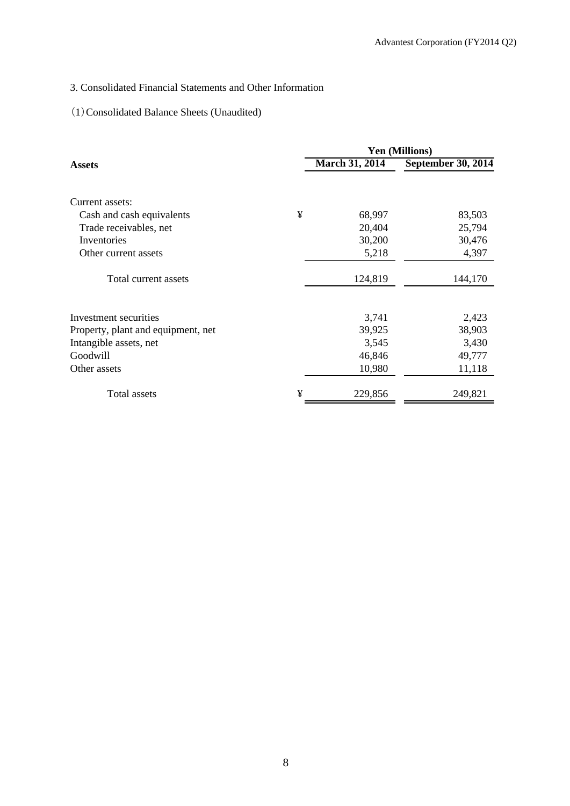## 3. Consolidated Financial Statements and Other Information

## (1)Consolidated Balance Sheets (Unaudited)

|                                    |   |                       | <b>Yen (Millions)</b> |
|------------------------------------|---|-----------------------|-----------------------|
| <b>Assets</b>                      |   | <b>March 31, 2014</b> | September 30, 2014    |
| Current assets:                    |   |                       |                       |
| Cash and cash equivalents          | ¥ | 68,997                | 83,503                |
| Trade receivables, net             |   | 20,404                | 25,794                |
| Inventories                        |   | 30,200                | 30,476                |
| Other current assets               |   | 5,218                 | 4,397                 |
| Total current assets               |   | 124,819               | 144,170               |
| Investment securities              |   | 3,741                 | 2,423                 |
| Property, plant and equipment, net |   | 39,925                | 38,903                |
| Intangible assets, net             |   | 3,545                 | 3,430                 |
| Goodwill                           |   | 46,846                | 49,777                |
| Other assets                       |   | 10,980                | 11,118                |
| Total assets                       | ¥ | 229,856               | 249,821               |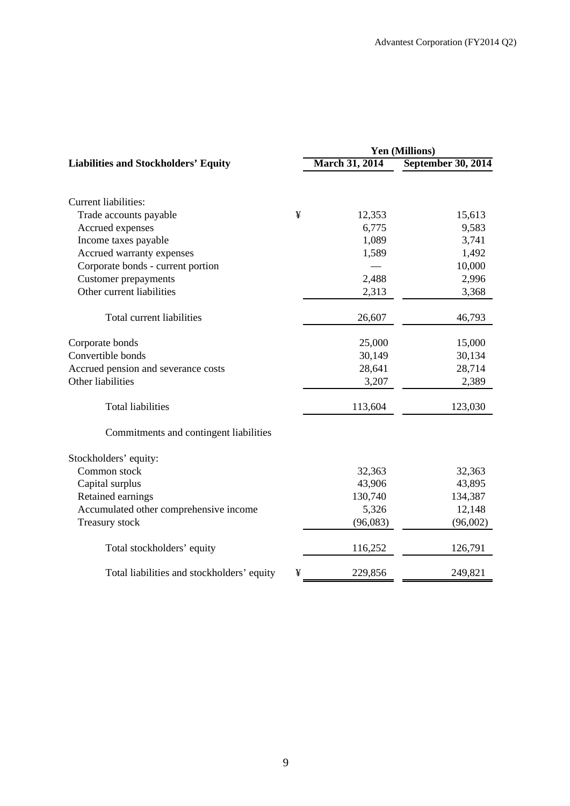|                                             |   | Yen (Millions)        |                    |  |  |
|---------------------------------------------|---|-----------------------|--------------------|--|--|
| <b>Liabilities and Stockholders' Equity</b> |   | <b>March 31, 2014</b> | September 30, 2014 |  |  |
|                                             |   |                       |                    |  |  |
| <b>Current liabilities:</b>                 |   |                       |                    |  |  |
| Trade accounts payable                      | ¥ | 12,353                | 15,613             |  |  |
| Accrued expenses                            |   | 6,775                 | 9,583              |  |  |
| Income taxes payable                        |   | 1,089                 | 3,741              |  |  |
| Accrued warranty expenses                   |   | 1,589                 | 1,492              |  |  |
| Corporate bonds - current portion           |   |                       | 10,000             |  |  |
| <b>Customer</b> prepayments                 |   | 2,488                 | 2,996              |  |  |
| Other current liabilities                   |   | 2,313                 | 3,368              |  |  |
| Total current liabilities                   |   | 26,607                | 46,793             |  |  |
| Corporate bonds                             |   | 25,000                | 15,000             |  |  |
| Convertible bonds                           |   | 30,149                | 30,134             |  |  |
| Accrued pension and severance costs         |   | 28,641                | 28,714             |  |  |
| Other liabilities                           |   | 3,207                 | 2,389              |  |  |
| <b>Total liabilities</b>                    |   | 113,604               | 123,030            |  |  |
| Commitments and contingent liabilities      |   |                       |                    |  |  |
| Stockholders' equity:                       |   |                       |                    |  |  |
| Common stock                                |   | 32,363                | 32,363             |  |  |
| Capital surplus                             |   | 43,906                | 43,895             |  |  |
| Retained earnings                           |   | 130,740               | 134,387            |  |  |
| Accumulated other comprehensive income      |   | 5,326                 | 12,148             |  |  |
| Treasury stock                              |   | (96,083)              | (96,002)           |  |  |
| Total stockholders' equity                  |   | 116,252               | 126,791            |  |  |
| Total liabilities and stockholders' equity  | ¥ | 229,856               | 249,821            |  |  |
|                                             |   |                       |                    |  |  |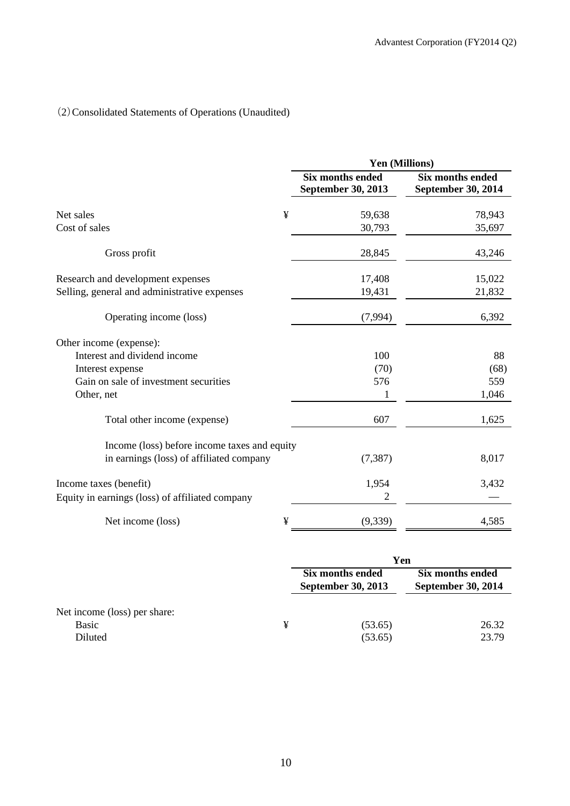## (2)Consolidated Statements of Operations (Unaudited)

|                                                 | Yen (Millions)                                |                                               |  |  |  |
|-------------------------------------------------|-----------------------------------------------|-----------------------------------------------|--|--|--|
|                                                 | <b>Six months ended</b><br>September 30, 2013 | <b>Six months ended</b><br>September 30, 2014 |  |  |  |
| ¥<br>Net sales                                  | 59,638                                        | 78,943                                        |  |  |  |
| Cost of sales                                   | 30,793                                        | 35,697                                        |  |  |  |
| Gross profit                                    | 28,845                                        | 43,246                                        |  |  |  |
| Research and development expenses               | 17,408                                        | 15,022                                        |  |  |  |
| Selling, general and administrative expenses    | 19,431                                        | 21,832                                        |  |  |  |
| Operating income (loss)                         | (7,994)                                       | 6,392                                         |  |  |  |
| Other income (expense):                         |                                               |                                               |  |  |  |
| Interest and dividend income                    | 100                                           | 88                                            |  |  |  |
| Interest expense                                | (70)                                          | (68)                                          |  |  |  |
| Gain on sale of investment securities           | 576                                           | 559                                           |  |  |  |
| Other, net                                      | 1                                             | 1,046                                         |  |  |  |
| Total other income (expense)                    | 607                                           | 1,625                                         |  |  |  |
| Income (loss) before income taxes and equity    |                                               |                                               |  |  |  |
| in earnings (loss) of affiliated company        | (7, 387)                                      | 8,017                                         |  |  |  |
| Income taxes (benefit)                          | 1,954                                         | 3,432                                         |  |  |  |
| Equity in earnings (loss) of affiliated company | 2                                             |                                               |  |  |  |
| ¥<br>Net income (loss)                          | (9, 339)                                      | 4,585                                         |  |  |  |

|                                                  |   | Yen                                           |                                               |  |
|--------------------------------------------------|---|-----------------------------------------------|-----------------------------------------------|--|
|                                                  |   | Six months ended<br><b>September 30, 2013</b> | Six months ended<br><b>September 30, 2014</b> |  |
| Net income (loss) per share:<br>Basic<br>Diluted | ¥ | (53.65)<br>(53.65)                            | 26.32<br>23.79                                |  |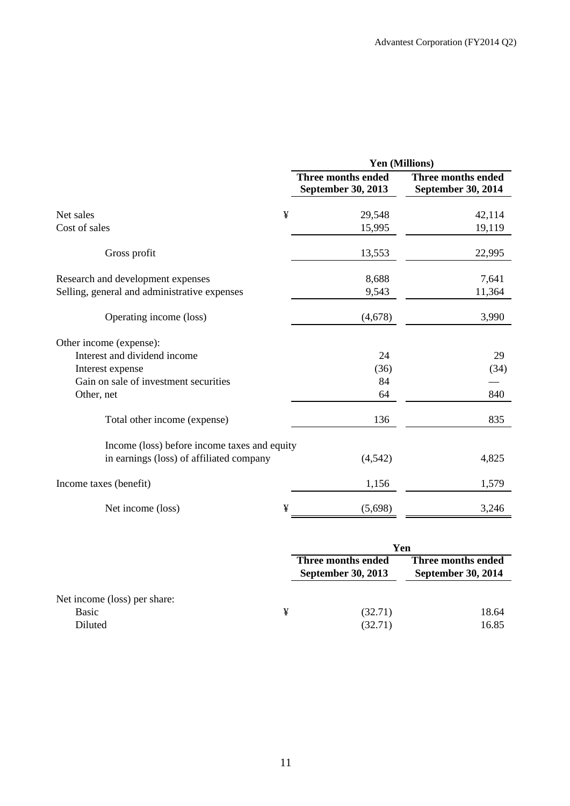|                                              |                                                 | Yen (Millions)                                  |
|----------------------------------------------|-------------------------------------------------|-------------------------------------------------|
|                                              | <b>Three months ended</b><br>September 30, 2013 | <b>Three months ended</b><br>September 30, 2014 |
| ¥<br>Net sales                               | 29,548                                          | 42,114                                          |
| Cost of sales                                | 15,995                                          | 19,119                                          |
| Gross profit                                 | 13,553                                          | 22,995                                          |
| Research and development expenses            | 8,688                                           | 7,641                                           |
| Selling, general and administrative expenses | 9,543                                           | 11,364                                          |
| Operating income (loss)                      | (4,678)                                         | 3,990                                           |
| Other income (expense):                      |                                                 |                                                 |
| Interest and dividend income                 | 24                                              | 29                                              |
| Interest expense                             | (36)                                            | (34)                                            |
| Gain on sale of investment securities        | 84                                              |                                                 |
| Other, net                                   | 64                                              | 840                                             |
| Total other income (expense)                 | 136                                             | 835                                             |
| Income (loss) before income taxes and equity |                                                 |                                                 |
| in earnings (loss) of affiliated company     | (4, 542)                                        | 4,825                                           |
| Income taxes (benefit)                       | 1,156                                           | 1,579                                           |
| ¥<br>Net income (loss)                       | (5,698)                                         | 3,246                                           |

|                                                  |   | Yen                                             |                                                 |  |
|--------------------------------------------------|---|-------------------------------------------------|-------------------------------------------------|--|
|                                                  |   | Three months ended<br><b>September 30, 2013</b> | Three months ended<br><b>September 30, 2014</b> |  |
| Net income (loss) per share:<br>Basic<br>Diluted | ¥ | (32.71)<br>(32.71)                              | 18.64<br>16.85                                  |  |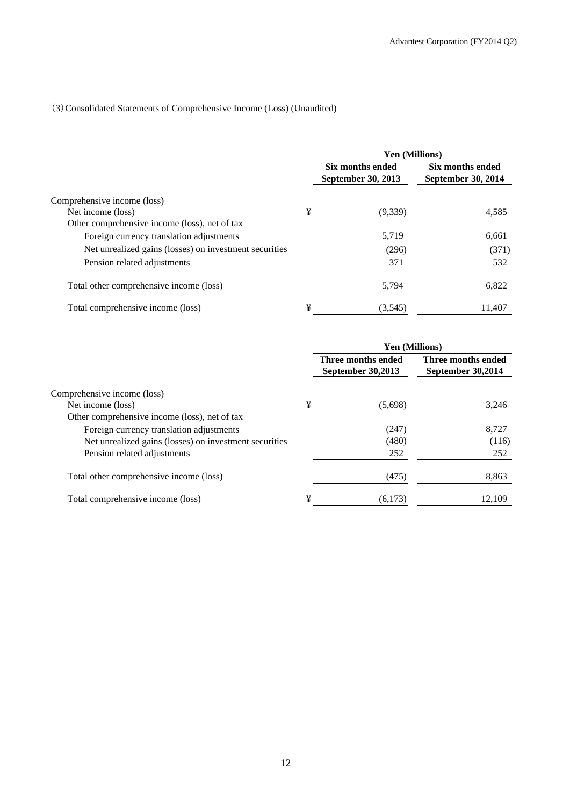## (3)Consolidated Statements of Comprehensive Income (Loss) (Unaudited)

|                                                        |   | Yen (Millions)                                |                                        |  |
|--------------------------------------------------------|---|-----------------------------------------------|----------------------------------------|--|
|                                                        |   | Six months ended<br><b>September 30, 2013</b> | Six months ended<br>September 30, 2014 |  |
| Comprehensive income (loss)                            |   |                                               |                                        |  |
| Net income (loss)                                      | ¥ | (9,339)                                       | 4,585                                  |  |
| Other comprehensive income (loss), net of tax          |   |                                               |                                        |  |
| Foreign currency translation adjustments               |   | 5,719                                         | 6,661                                  |  |
| Net unrealized gains (losses) on investment securities |   | (296)                                         | (371)                                  |  |
| Pension related adjustments                            |   | 371                                           | 532                                    |  |
| Total other comprehensive income (loss)                |   | 5,794                                         | 6,822                                  |  |
| Total comprehensive income (loss)                      | ¥ | (3,545)                                       | 11.407                                 |  |

|                                                        |   | <b>Yen (Millions)</b>                   |                                         |
|--------------------------------------------------------|---|-----------------------------------------|-----------------------------------------|
|                                                        |   | Three months ended<br>September 30,2013 | Three months ended<br>September 30,2014 |
| Comprehensive income (loss)                            |   |                                         |                                         |
| Net income (loss)                                      | ¥ | (5,698)                                 | 3,246                                   |
| Other comprehensive income (loss), net of tax          |   |                                         |                                         |
| Foreign currency translation adjustments               |   | (247)                                   | 8,727                                   |
| Net unrealized gains (losses) on investment securities |   | (480)                                   | (116)                                   |
| Pension related adjustments                            |   | 252                                     | 252                                     |
| Total other comprehensive income (loss)                |   | (475)                                   | 8,863                                   |
| Total comprehensive income (loss)                      | ¥ | (6,173)                                 | 12.109                                  |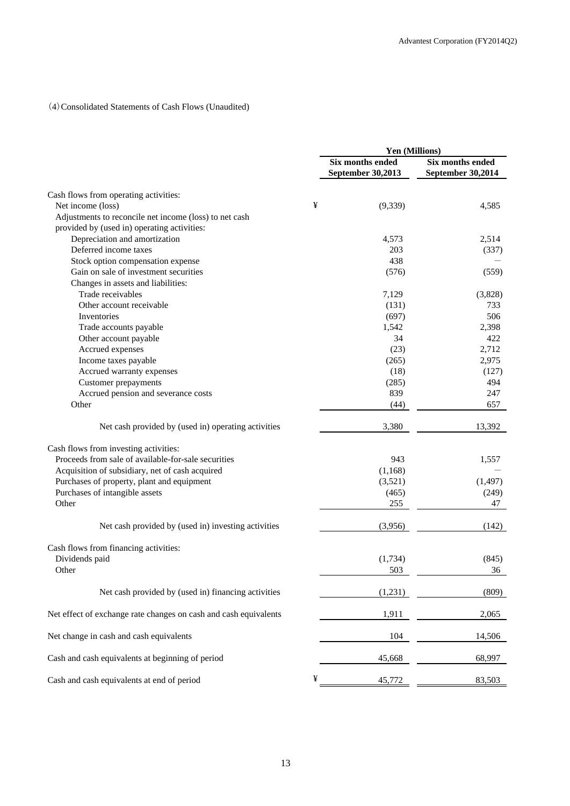### (4)Consolidated Statements of Cash Flows (Unaudited)

|                                                                  | Yen (Millions) |                                              |                                       |
|------------------------------------------------------------------|----------------|----------------------------------------------|---------------------------------------|
|                                                                  |                | <b>Six months ended</b><br>September 30,2013 | Six months ended<br>September 30,2014 |
| Cash flows from operating activities:                            |                |                                              |                                       |
| Net income (loss)                                                | ¥              | (9, 339)                                     | 4,585                                 |
| Adjustments to reconcile net income (loss) to net cash           |                |                                              |                                       |
| provided by (used in) operating activities:                      |                |                                              |                                       |
| Depreciation and amortization                                    |                | 4,573                                        | 2,514                                 |
| Deferred income taxes                                            |                | 203                                          | (337)                                 |
| Stock option compensation expense                                |                | 438                                          |                                       |
| Gain on sale of investment securities                            |                | (576)                                        | (559)                                 |
| Changes in assets and liabilities:                               |                |                                              |                                       |
| Trade receivables                                                |                | 7,129                                        | (3,828)                               |
| Other account receivable                                         |                | (131)                                        | 733                                   |
| Inventories                                                      |                | (697)                                        | 506                                   |
|                                                                  |                |                                              | 2,398                                 |
| Trade accounts payable                                           |                | 1,542<br>34                                  |                                       |
| Other account payable                                            |                |                                              | 422                                   |
| Accrued expenses                                                 |                | (23)                                         | 2,712                                 |
| Income taxes payable                                             |                | (265)                                        | 2,975                                 |
| Accrued warranty expenses                                        |                | (18)                                         | (127)                                 |
| <b>Customer</b> prepayments                                      |                | (285)                                        | 494                                   |
| Accrued pension and severance costs                              |                | 839                                          | 247                                   |
| Other                                                            |                | (44)                                         | 657                                   |
| Net cash provided by (used in) operating activities              |                | 3,380                                        | 13,392                                |
| Cash flows from investing activities:                            |                |                                              |                                       |
| Proceeds from sale of available-for-sale securities              |                | 943                                          | 1,557                                 |
| Acquisition of subsidiary, net of cash acquired                  |                | (1,168)                                      |                                       |
| Purchases of property, plant and equipment                       |                | (3,521)                                      | (1, 497)                              |
| Purchases of intangible assets                                   |                | (465)                                        | (249)                                 |
| Other                                                            |                | 255                                          | 47                                    |
|                                                                  |                |                                              |                                       |
| Net cash provided by (used in) investing activities              |                | (3,956)                                      | (142)                                 |
| Cash flows from financing activities:                            |                |                                              |                                       |
| Dividends paid                                                   |                | (1,734)                                      | (845)                                 |
| Other                                                            |                | 503                                          | 36                                    |
| Net cash provided by (used in) financing activities              |                | (1,231)                                      | (809)                                 |
|                                                                  |                |                                              |                                       |
| Net effect of exchange rate changes on cash and cash equivalents |                | 1,911                                        | 2,065                                 |
| Net change in cash and cash equivalents                          |                | 104                                          | 14,506                                |
| Cash and cash equivalents at beginning of period                 |                | 45,668                                       | 68,997                                |
| Cash and cash equivalents at end of period                       | ¥              | 45,772                                       | 83,503                                |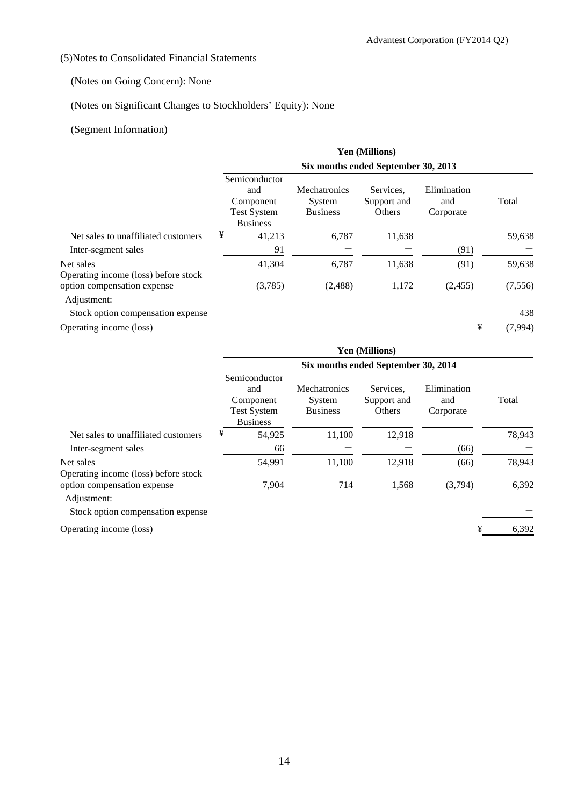## (5)Notes to Consolidated Financial Statements

## (Notes on Going Concern): None

## (Notes on Significant Changes to Stockholders' Equity): None

## (Segment Information)

|                                                   | Yen (Millions)                                                             |                                                  |                                    |                                 |          |  |  |  |  |
|---------------------------------------------------|----------------------------------------------------------------------------|--------------------------------------------------|------------------------------------|---------------------------------|----------|--|--|--|--|
|                                                   | Six months ended September 30, 2013                                        |                                                  |                                    |                                 |          |  |  |  |  |
|                                                   | Semiconductor<br>and<br>Component<br><b>Test System</b><br><b>Business</b> | <b>Mechatronics</b><br>System<br><b>Business</b> | Services.<br>Support and<br>Others | Elimination<br>and<br>Corporate | Total    |  |  |  |  |
| Net sales to unaffiliated customers               | ¥<br>41,213                                                                | 6,787                                            | 11,638                             |                                 | 59,638   |  |  |  |  |
| Inter-segment sales                               | 91                                                                         |                                                  |                                    | (91)                            |          |  |  |  |  |
| Net sales<br>Operating income (loss) before stock | 41,304                                                                     | 6,787                                            | 11,638                             | (91)                            | 59,638   |  |  |  |  |
| option compensation expense<br>Adjustment:        | (3,785)                                                                    | (2,488)                                          | 1,172                              | (2,455)                         | (7, 556) |  |  |  |  |
| Stock option compensation expense                 |                                                                            |                                                  |                                    |                                 | 438      |  |  |  |  |
| Operating income (loss)                           |                                                                            |                                                  |                                    | ¥                               | (7,994)  |  |  |  |  |

|                                                   | <b>Yen (Millions)</b><br>Six months ended September 30, 2014 |                                                                            |                                                  |                                    |                                 |        |  |
|---------------------------------------------------|--------------------------------------------------------------|----------------------------------------------------------------------------|--------------------------------------------------|------------------------------------|---------------------------------|--------|--|
|                                                   |                                                              |                                                                            |                                                  |                                    |                                 |        |  |
|                                                   |                                                              | Semiconductor<br>and<br>Component<br><b>Test System</b><br><b>Business</b> | <b>Mechatronics</b><br>System<br><b>Business</b> | Services.<br>Support and<br>Others | Elimination<br>and<br>Corporate | Total  |  |
| Net sales to unaffiliated customers               | ¥                                                            | 54,925                                                                     | 11,100                                           | 12,918                             |                                 | 78,943 |  |
| Inter-segment sales                               |                                                              | 66                                                                         |                                                  |                                    | (66)                            |        |  |
| Net sales<br>Operating income (loss) before stock |                                                              | 54,991                                                                     | 11,100                                           | 12.918                             | (66)                            | 78,943 |  |
| option compensation expense<br>Adjustment:        |                                                              | 7.904                                                                      | 714                                              | 1,568                              | (3,794)                         | 6,392  |  |

Stock option compensation expense

Operating income (loss)  $\frac{4}{3}$  6,392